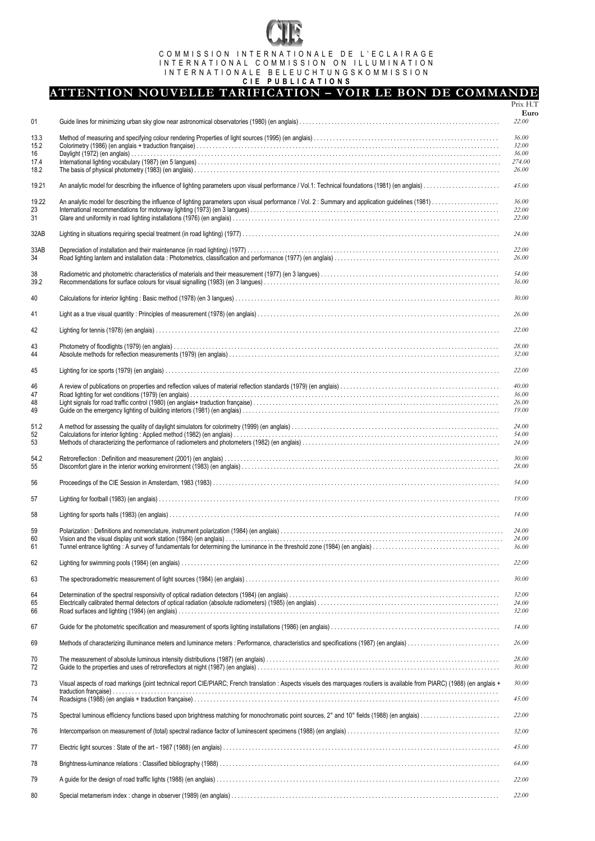# COMMISSION INTERNATIONALE DE L'ECLAIRAGE INTERNATIONAL COMMISSION ON ILLUMINATION INTERNATIONALE BELEUCHTUNGSKOMMISSION

#### **CIE PUBLICATIONS**

# **ATTENTION NOUVELLE TARIFICATION – VOIR LE BON DE COMMANDE**

|            |                                                                                                                                                                              | Prix H.T       |
|------------|------------------------------------------------------------------------------------------------------------------------------------------------------------------------------|----------------|
| 01         |                                                                                                                                                                              | Euro<br>22.00  |
| 13.3       |                                                                                                                                                                              | 36.00          |
| 15.2<br>16 |                                                                                                                                                                              | 32.00<br>36.00 |
| 17.4       |                                                                                                                                                                              | 274.00         |
| 18.2       |                                                                                                                                                                              | 26.00          |
| 19.21      |                                                                                                                                                                              | 45.00          |
| 19.22      |                                                                                                                                                                              | 36.00          |
| 23<br>31   |                                                                                                                                                                              | 22.00<br>22.00 |
| 32AB       |                                                                                                                                                                              | 24.00          |
| 33AB       |                                                                                                                                                                              | 22.00          |
| 34         |                                                                                                                                                                              | 26.00          |
| 38<br>39.2 |                                                                                                                                                                              | 54.00<br>36.00 |
| 40         |                                                                                                                                                                              | 30.00          |
| 41         |                                                                                                                                                                              | 26.00          |
| 42         |                                                                                                                                                                              | 22.00          |
| 43         |                                                                                                                                                                              | 28.00          |
| 44         |                                                                                                                                                                              | 32.00          |
| 45         |                                                                                                                                                                              | 22.00          |
| 46         |                                                                                                                                                                              | 40.00          |
| 47<br>48   |                                                                                                                                                                              | 36.00<br>26.00 |
| 49         |                                                                                                                                                                              | 19.00          |
| 51.2       |                                                                                                                                                                              | 24.00          |
| 52<br>53   |                                                                                                                                                                              | 54.00<br>24.00 |
| 54.2<br>55 |                                                                                                                                                                              | 30.00<br>28.00 |
| 56         |                                                                                                                                                                              | 54.00          |
| 57         |                                                                                                                                                                              | 19.00          |
|            |                                                                                                                                                                              |                |
| 58         |                                                                                                                                                                              | 14.00          |
| 59<br>60   |                                                                                                                                                                              | 24.00<br>24.00 |
| 61         |                                                                                                                                                                              |                |
| 62         |                                                                                                                                                                              | 22.00          |
| 63         |                                                                                                                                                                              | 30.00          |
|            |                                                                                                                                                                              |                |
| 64<br>65   |                                                                                                                                                                              | 32.00<br>24.00 |
| 66         |                                                                                                                                                                              | 32.00          |
| 67         |                                                                                                                                                                              | 14.00          |
| 69         |                                                                                                                                                                              | 26.00          |
| 70<br>72   |                                                                                                                                                                              | 28.00<br>30.00 |
| 73         | Visual aspects of road markings (joint technical report CIE/PIARC; French translation : Aspects visuels des marquages routiers is available from PIARC) (1988) (en anglais + | 30.00          |
| 74         |                                                                                                                                                                              | 45.00          |
| 75         |                                                                                                                                                                              | 22.00          |
| 76         |                                                                                                                                                                              | 32.00          |
| 77         |                                                                                                                                                                              | 45.00          |
| 78         |                                                                                                                                                                              | 64.00          |
| 79         |                                                                                                                                                                              | 22.00          |
| 80         |                                                                                                                                                                              | 22.00          |
|            |                                                                                                                                                                              |                |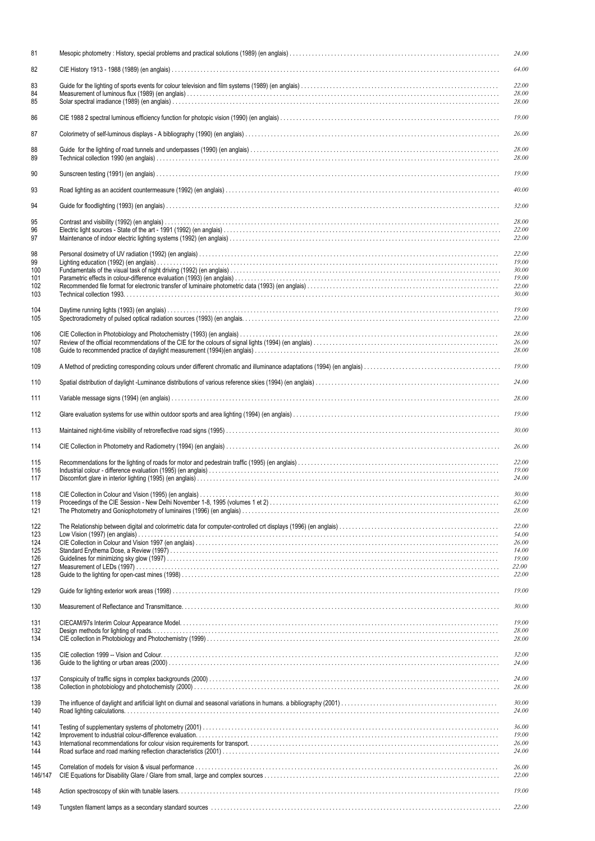| 81                                            | 24.00                                                       |
|-----------------------------------------------|-------------------------------------------------------------|
| 82                                            | 64.00                                                       |
| 83<br>84<br>85                                | 22.00<br>28.00<br>28.00                                     |
| 86                                            | 19.00                                                       |
| 87                                            | 26.00                                                       |
| 88<br>89                                      | 28.00<br>28.00                                              |
| 90                                            | 19.00                                                       |
| 93                                            | 40.00                                                       |
| 94                                            | 32.00                                                       |
| 95<br>96<br>97                                | 28.00<br>22.00<br>22.00                                     |
| 98<br>99<br>100<br>101<br>102<br>103          | 22.00<br>19.00<br>30.00<br>19.00<br>22.00<br>30.00          |
| 104<br>105                                    | 19.00<br>22.00                                              |
| 106<br>107<br>108                             | 28.00<br>26.00<br>28.00                                     |
| 109                                           | 19.00                                                       |
| 110                                           | 24.00                                                       |
| 111                                           | 28.00                                                       |
| 112                                           | 19.00                                                       |
| 113                                           | 30.00                                                       |
| 114                                           | 26.00                                                       |
| 115<br>116<br>117                             | 22.00<br>19.00<br>24.00                                     |
|                                               |                                                             |
| 118<br>119<br>121                             | 30.00<br>62.00<br>28.00                                     |
| 122<br>123<br>124<br>125<br>126<br>127<br>128 | 22.00<br>54.00<br>26.00<br>14.00<br>19.00<br>22.00<br>22.00 |
| 129                                           | 19.00                                                       |
| 130                                           | 30.00                                                       |
| 131<br>132<br>134                             | 19.00<br>28.00<br>28.00                                     |
| 135<br>136                                    | 32.00<br>24.00                                              |
| 137<br>138                                    | 24.00<br>28.00                                              |
| 139<br>140                                    | 30.00<br>24.00                                              |
| 141<br>142<br>143<br>144                      | 36.00<br>19.00<br>26.00<br>24.00                            |
| 145<br>146/147                                | 26.00<br>22.00                                              |
| 148                                           | 19.00                                                       |
| 149                                           | 22.00                                                       |